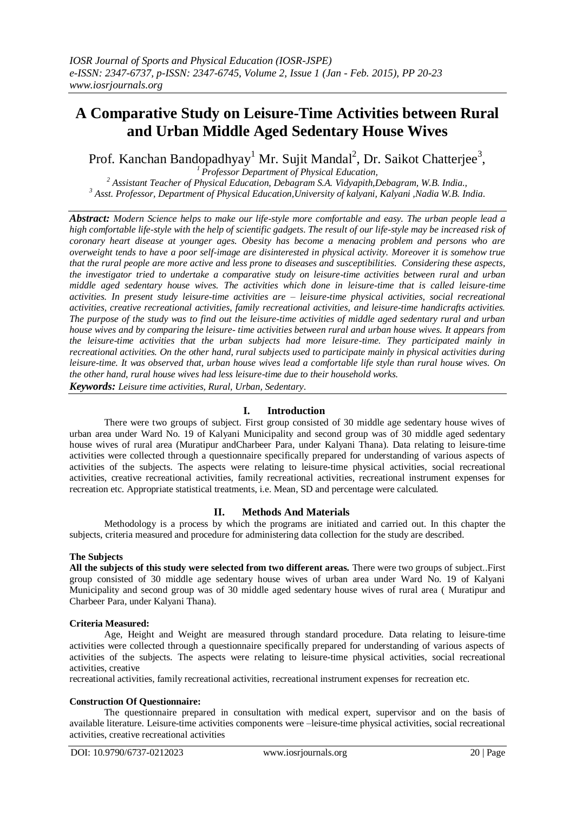# **A Comparative Study on Leisure-Time Activities between Rural and Urban Middle Aged Sedentary House Wives**

Prof. Kanchan Bandopadhyay<sup>1</sup> Mr. Sujit Mandal<sup>2</sup>, Dr. Saikot Chatterjee<sup>3</sup>,

*<sup>1</sup> Professor Department of Physical Education, <sup>2</sup> Assistant Teacher of Physical Education, Debagram S.A. Vidyapith,Debagram, W.B. India., <sup>3</sup> Asst. Professor, Department of Physical Education,University of kalyani, Kalyani ,Nadia W.B. India.*

*Abstract: Modern Science helps to make our life-style more comfortable and easy. The urban people lead a high comfortable life-style with the help of scientific gadgets. The result of our life-style may be increased risk of coronary heart disease at younger ages. Obesity has become a menacing problem and persons who are overweight tends to have a poor self-image are disinterested in physical activity. Moreover it is somehow true that the rural people are more active and less prone to diseases and susceptibilities. Considering these aspects, the investigator tried to undertake a comparative study on leisure-time activities between rural and urban middle aged sedentary house wives. The activities which done in leisure-time that is called leisure-time activities. In present study leisure-time activities are – leisure-time physical activities, social recreational activities, creative recreational activities, family recreational activities, and leisure-time handicrafts activities. The purpose of the study was to find out the leisure-time activities of middle aged sedentary rural and urban house wives and by comparing the leisure- time activities between rural and urban house wives. It appears from the leisure-time activities that the urban subjects had more leisure-time. They participated mainly in recreational activities. On the other hand, rural subjects used to participate mainly in physical activities during leisure-time. It was observed that, urban house wives lead a comfortable life style than rural house wives. On the other hand, rural house wives had less leisure-time due to their household works.*

*Keywords: Leisure time activities, Rural, Urban, Sedentary*.

# **I. Introduction**

There were two groups of subject. First group consisted of 30 middle age sedentary house wives of urban area under Ward No. 19 of Kalyani Municipality and second group was of 30 middle aged sedentary house wives of rural area (Muratipur andCharbeer Para, under Kalyani Thana). Data relating to leisure-time activities were collected through a questionnaire specifically prepared for understanding of various aspects of activities of the subjects. The aspects were relating to leisure-time physical activities, social recreational activities, creative recreational activities, family recreational activities, recreational instrument expenses for recreation etc. Appropriate statistical treatments, i.e. Mean, SD and percentage were calculated.

# **II. Methods And Materials**

Methodology is a process by which the programs are initiated and carried out. In this chapter the subjects, criteria measured and procedure for administering data collection for the study are described.

# **The Subjects**

**All the subjects of this study were selected from two different areas.** There were two groups of subject..First group consisted of 30 middle age sedentary house wives of urban area under Ward No. 19 of Kalyani Municipality and second group was of 30 middle aged sedentary house wives of rural area ( Muratipur and Charbeer Para, under Kalyani Thana).

# **Criteria Measured:**

Age, Height and Weight are measured through standard procedure. Data relating to leisure-time activities were collected through a questionnaire specifically prepared for understanding of various aspects of activities of the subjects. The aspects were relating to leisure-time physical activities, social recreational activities, creative

recreational activities, family recreational activities, recreational instrument expenses for recreation etc.

# **Construction Of Questionnaire:**

The questionnaire prepared in consultation with medical expert, supervisor and on the basis of available literature. Leisure-time activities components were –leisure-time physical activities, social recreational activities, creative recreational activities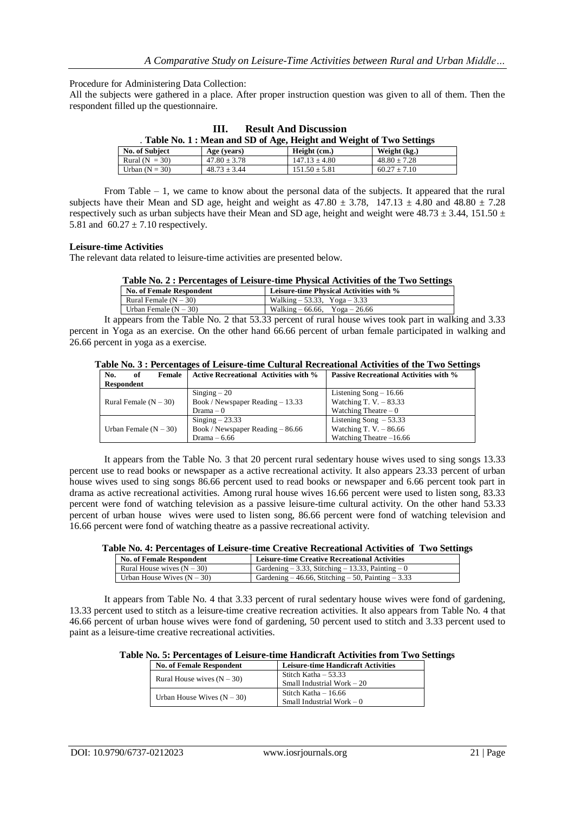Procedure for Administering Data Collection:

All the subjects were gathered in a place. After proper instruction question was given to all of them. Then the respondent filled up the questionnaire.

| <b>Result And Discussion</b><br>Ш. |                  |                                                                       |                  |  |  |
|------------------------------------|------------------|-----------------------------------------------------------------------|------------------|--|--|
|                                    |                  | . Table No. 1 : Mean and SD of Age, Height and Weight of Two Settings |                  |  |  |
| No. of Subject                     | Age (years)      | Height (cm.)                                                          | Weight (kg.)     |  |  |
| Rural $(N = 30)$                   | $47.80 \pm 3.78$ | $147.13 + 4.80$                                                       | $48.80 \pm 7.28$ |  |  |
| Urban $(N = 30)$                   | $48.73 \pm 3.44$ | $151.50 \pm 5.81$                                                     | $60.27 \pm 7.10$ |  |  |

From Table – 1, we came to know about the personal data of the subjects. It appeared that the rural subjects have their Mean and SD age, height and weight as  $47.80 \pm 3.78$ ,  $147.13 \pm 4.80$  and  $48.80 \pm 7.28$ respectively such as urban subjects have their Mean and SD age, height and weight were  $48.73 \pm 3.44$ , 151.50  $\pm$ 5.81 and  $60.27 \pm 7.10$  respectively.

#### **Leisure-time Activities**

The relevant data related to leisure-time activities are presented below.

| Table No. 2 : Percentages of Leisure-time Physical Activities of the Two Settings |
|-----------------------------------------------------------------------------------|
|-----------------------------------------------------------------------------------|

| <b>No. of Female Respondent</b> | Leisure-time Physical Activities with % |
|---------------------------------|-----------------------------------------|
| Rural Female $(N - 30)$         | Walking $-53.33$ , Yoga $-3.33$         |
| Urban Female $(N - 30)$         | Walking $-66.66$ , Yoga $-26.66$        |
|                                 |                                         |

It appears from the Table No. 2 that 53.33 percent of rural house wives took part in walking and 3.33 percent in Yoga as an exercise. On the other hand 66.66 percent of urban female participated in walking and 26.66 percent in yoga as a exercise.

| Table No. 3 : Percentages of Leisure-time Cultural Recreational Activities of the Two Settings |  |  |  |  |  |  |  |  |  |  |  |
|------------------------------------------------------------------------------------------------|--|--|--|--|--|--|--|--|--|--|--|
|------------------------------------------------------------------------------------------------|--|--|--|--|--|--|--|--|--|--|--|

| Female<br>of<br>No.     | <b>Active Recreational Activities with %</b> | <b>Passive Recreational Activities with %</b> |
|-------------------------|----------------------------------------------|-----------------------------------------------|
| <b>Respondent</b>       |                                              |                                               |
|                         | $Singing - 20$                               | Listening $Song - 16.66$                      |
| Rural Female $(N - 30)$ | Book / Newspaper Reading – 13.33             | Watching T. V. $-83.33$                       |
|                         | Drama – 0                                    | Watching Theatre $-0$                         |
|                         | $Singing - 23.33$                            | Listening Song $-53.33$                       |
| Urban Female $(N - 30)$ | Book / Newspaper Reading – 86.66             | Watching T. V. $-86.66$                       |
|                         | Drama $-6.66$                                | Watching Theatre $-16.66$                     |
|                         |                                              |                                               |

It appears from the Table No. 3 that 20 percent rural sedentary house wives used to sing songs 13.33 percent use to read books or newspaper as a active recreational activity. It also appears 23.33 percent of urban house wives used to sing songs 86.66 percent used to read books or newspaper and 6.66 percent took part in drama as active recreational activities. Among rural house wives 16.66 percent were used to listen song, 83.33 percent were fond of watching television as a passive leisure-time cultural activity. On the other hand 53.33 percent of urban house wives were used to listen song, 86.66 percent were fond of watching television and 16.66 percent were fond of watching theatre as a passive recreational activity.

|  |  |  | Table No. 4: Percentages of Leisure-time Creative Recreational Activities of Two Settings |  |  |
|--|--|--|-------------------------------------------------------------------------------------------|--|--|
|--|--|--|-------------------------------------------------------------------------------------------|--|--|

| <b>No. of Female Respondent</b> | <b>Leisure-time Creative Recreational Activities</b>    |
|---------------------------------|---------------------------------------------------------|
| Rural House wives $(N - 30)$    | Gardening $-3.33$ , Stitching $-13.33$ , Painting $-0$  |
| Urban House Wives $(N - 30)$    | Gardening $-46.66$ , Stitching $-50$ , Painting $-3.33$ |

It appears from Table No. 4 that 3.33 percent of rural sedentary house wives were fond of gardening, 13.33 percent used to stitch as a leisure-time creative recreation activities. It also appears from Table No. 4 that 46.66 percent of urban house wives were fond of gardening, 50 percent used to stitch and 3.33 percent used to paint as a leisure-time creative recreational activities.

**Table No. 5: Percentages of Leisure-time Handicraft Activities from Two Settings**

| <b>No. of Female Respondent</b> | <b>Leisure-time Handicraft Activities</b> |  |
|---------------------------------|-------------------------------------------|--|
| Rural House wives $(N - 30)$    | Stitch Katha $-53.33$                     |  |
|                                 | Small Industrial Work $-20$               |  |
|                                 | Stitch Katha $-16.66$                     |  |
| Urban House Wives $(N - 30)$    | Small Industrial Work $-0$                |  |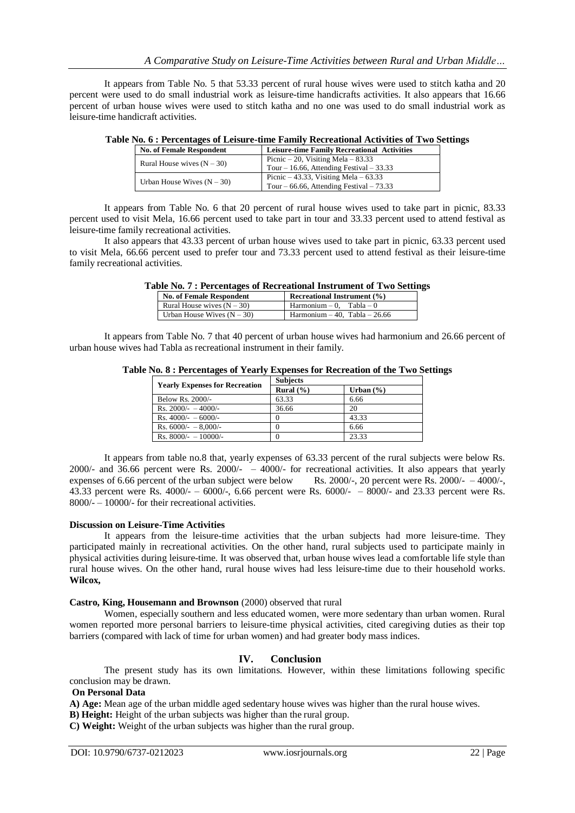It appears from Table No. 5 that 53.33 percent of rural house wives were used to stitch katha and 20 were used to do small industrial work as leisure-time handicrafts activities. It also appears that 16.66 percent of urban house wives were used to stitch katha and no one was used to do small industrial work as leisure-time handicraft activities.

| $1.000011$ and $0.0100001$ and $0.00001$ and $0.00001$ and $0.00001$ and $0.00001$ and $0.00001$ |                                                    |  |  |  |
|--------------------------------------------------------------------------------------------------|----------------------------------------------------|--|--|--|
| <b>No. of Female Respondent</b>                                                                  | <b>Leisure-time Family Recreational Activities</b> |  |  |  |
| Rural House wives $(N - 30)$                                                                     | Picnic $-20$ , Visiting Mela $-83.33$              |  |  |  |
|                                                                                                  | Tour $-16.66$ , Attending Festival $-33.33$        |  |  |  |
|                                                                                                  | Picnic $-43.33$ , Visiting Mela $-63.33$           |  |  |  |
| Urban House Wives $(N - 30)$                                                                     | Tour $-66.66$ , Attending Festival $-73.33$        |  |  |  |

### **Table No. 6 : Percentages of Leisure-time Family Recreational Activities of Two Settings**

It appears from Table No. 6 that 20 percent of rural house wives used to take part in picnic, 83.33 percent used to visit Mela, 16.66 percent used to take part in tour and 33.33 percent used to attend festival as leisure-time family recreational activities.

It also appears that 43.33 percent of urban house wives used to take part in picnic, 63.33 percent used to visit Mela, 66.66 percent used to prefer tour and 73.33 percent used to attend festival as their leisure-time family recreational activities.

| abic Tw. 7 . I creentages or incereational moti unicht or 1 wo betting |                                    |  |  |  |  |
|------------------------------------------------------------------------|------------------------------------|--|--|--|--|
| <b>No. of Female Respondent</b>                                        | <b>Recreational Instrument (%)</b> |  |  |  |  |
| Rural House wives $(N - 30)$                                           | $Harmonium - 0$ . Tabla - 0        |  |  |  |  |
| Urban House Wives $(N - 30)$                                           | Harmonium $-40$ . Tabla $-26.66$   |  |  |  |  |

# **Table No. 7 : Percentages of Recreational Instrument of Two Settings**

It appears from Table No. 7 that 40 percent of urban house wives had harmonium and 26.66 percent of urban house wives had Tabla as recreational instrument in their family.

| <b>Yearly Expenses for Recreation</b> | <b>Subjects</b> |               |  |  |
|---------------------------------------|-----------------|---------------|--|--|
|                                       | Rural $(\% )$   | Urban $(\% )$ |  |  |
| Below Rs. 2000/-                      | 63.33           | 6.66          |  |  |
| Rs. $2000/- - 4000/-$                 | 36.66           | 20            |  |  |
| Rs. $4000/- - 6000/-$                 |                 | 43.33         |  |  |
| Rs. $6000/- - 8,000/-$                |                 | 6.66          |  |  |
| Rs. $8000/- - 10000/-$                | 0               | 23.33         |  |  |

**Table No. 8 : Percentages of Yearly Expenses for Recreation of the Two Settings**

It appears from table no.8 that, yearly expenses of 63.33 percent of the rural subjects were below Rs. 2000/- and  $36.66$  percent were Rs. 2000/-  $-$  4000/- for recreational activities. It also appears that yearly expenses of 6.66 percent of the urban subject were below Rs. 2000/-, 20 percent were Rs. 2000/- – 4000/-, 43.33 percent were Rs. 4000/- – 6000/-, 6.66 percent were Rs. 6000/- – 8000/- and 23.33 percent were Rs. 8000/- – 10000/- for their recreational activities.

#### **Discussion on Leisure-Time Activities**

It appears from the leisure-time activities that the urban subjects had more leisure-time. They participated mainly in recreational activities. On the other hand, rural subjects used to participate mainly in physical activities during leisure-time. It was observed that, urban house wives lead a comfortable life style than rural house wives. On the other hand, rural house wives had less leisure-time due to their household works. **Wilcox,** 

#### **Castro, King, Housemann and Brownson** (2000) observed that rural

Women, especially southern and less educated women, were more sedentary than urban women. Rural women reported more personal barriers to leisure-time physical activities, cited caregiving duties as their top barriers (compared with lack of time for urban women) and had greater body mass indices.

#### **IV. Conclusion**

The present study has its own limitations. However, within these limitations following specific conclusion may be drawn.

#### **On Personal Data**

**A) Age:** Mean age of the urban middle aged sedentary house wives was higher than the rural house wives.

**B) Height:** Height of the urban subjects was higher than the rural group.

**C) Weight:** Weight of the urban subjects was higher than the rural group.